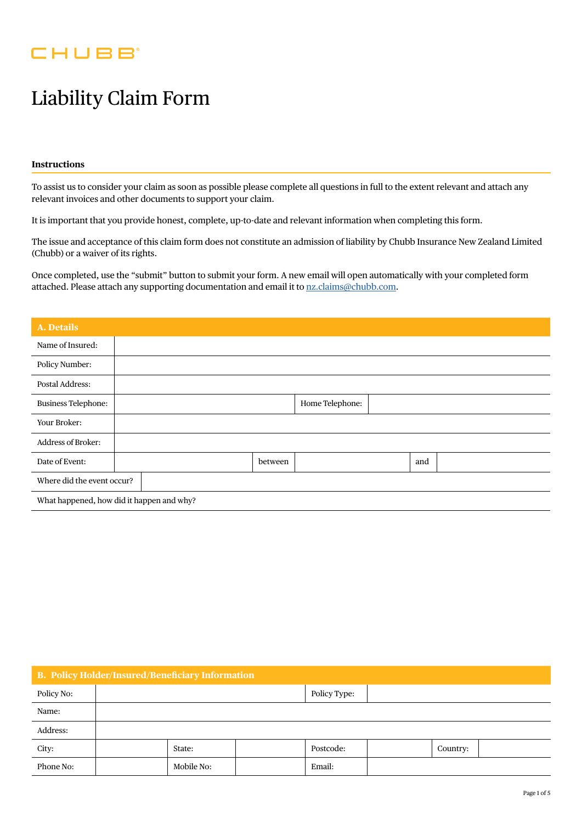## **CHUBB**

# Liability Claim Form

#### **Instructions**

To assist us to consider your claim as soon as possible please complete all questions in full to the extent relevant and attach any relevant invoices and other documents to support your claim.

It is important that you provide honest, complete, up-to-date and relevant information when completing this form.

The issue and acceptance of this claim form does not constitute an admission of liability by Chubb Insurance New Zealand Limited (Chubb) or a waiver of its rights.

Once completed, use the "submit" button to submit your form. A new email will open automatically with your completed form attached. Please attach any supporting documentation and email it to [nz.claims@chubb.com](mailto:nz.claims%40chubb.com?subject=).

| <b>A. Details</b>                         |  |                 |         |  |  |     |  |
|-------------------------------------------|--|-----------------|---------|--|--|-----|--|
| Name of Insured:                          |  |                 |         |  |  |     |  |
| Policy Number:                            |  |                 |         |  |  |     |  |
| Postal Address:                           |  |                 |         |  |  |     |  |
| <b>Business Telephone:</b>                |  | Home Telephone: |         |  |  |     |  |
| Your Broker:                              |  |                 |         |  |  |     |  |
| <b>Address of Broker:</b>                 |  |                 |         |  |  |     |  |
| Date of Event:                            |  |                 | between |  |  | and |  |
| Where did the event occur?                |  |                 |         |  |  |     |  |
| What happened, how did it happen and why? |  |                 |         |  |  |     |  |

| <b>B. Policy Holder/Insured/Beneficiary Information</b> |              |            |  |           |  |          |  |
|---------------------------------------------------------|--------------|------------|--|-----------|--|----------|--|
| Policy No:                                              | Policy Type: |            |  |           |  |          |  |
| Name:                                                   |              |            |  |           |  |          |  |
| Address:                                                |              |            |  |           |  |          |  |
| City:                                                   |              | State:     |  | Postcode: |  | Country: |  |
| Phone No:                                               |              | Mobile No: |  | Email:    |  |          |  |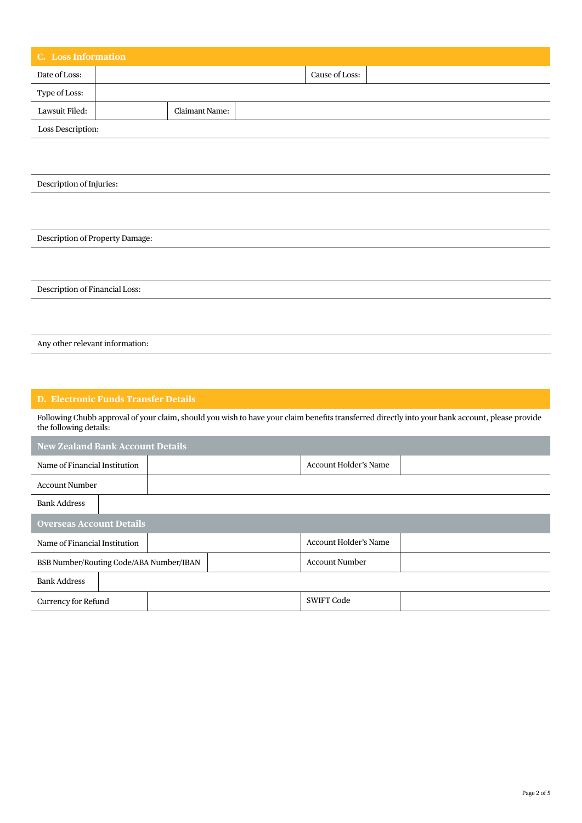| <b>C.</b> Loss Information      |  |                |  |                |  |  |
|---------------------------------|--|----------------|--|----------------|--|--|
| Date of Loss:                   |  |                |  | Cause of Loss: |  |  |
| Type of Loss:                   |  |                |  |                |  |  |
| Lawsuit Filed:                  |  | Claimant Name: |  |                |  |  |
| Loss Description:               |  |                |  |                |  |  |
|                                 |  |                |  |                |  |  |
|                                 |  |                |  |                |  |  |
| Description of Injuries:        |  |                |  |                |  |  |
|                                 |  |                |  |                |  |  |
|                                 |  |                |  |                |  |  |
| Description of Property Damage: |  |                |  |                |  |  |
|                                 |  |                |  |                |  |  |
|                                 |  |                |  |                |  |  |
| Description of Financial Loss:  |  |                |  |                |  |  |
|                                 |  |                |  |                |  |  |
|                                 |  |                |  |                |  |  |
| Any other relevant information: |  |                |  |                |  |  |

### **D. Electronic Funds Transfer Details**

Following Chubb approval of your claim, should you wish to have your claim benefits transferred directly into your bank account, please provide the following details:

| <b>New Zealand Bank Account Details</b> |  |  |  |                       |  |  |  |
|-----------------------------------------|--|--|--|-----------------------|--|--|--|
| Name of Financial Institution           |  |  |  | Account Holder's Name |  |  |  |
| <b>Account Number</b>                   |  |  |  |                       |  |  |  |
| <b>Bank Address</b>                     |  |  |  |                       |  |  |  |
| <b>Overseas Account Details</b>         |  |  |  |                       |  |  |  |
| Name of Financial Institution           |  |  |  | Account Holder's Name |  |  |  |
| BSB Number/Routing Code/ABA Number/IBAN |  |  |  | <b>Account Number</b> |  |  |  |
| <b>Bank Address</b>                     |  |  |  |                       |  |  |  |
| <b>Currency for Refund</b>              |  |  |  | <b>SWIFT Code</b>     |  |  |  |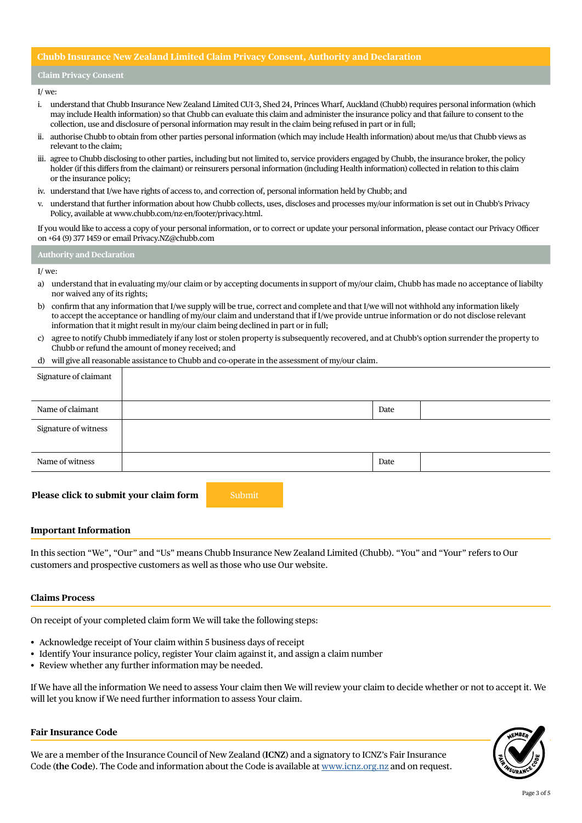#### **Chubb Insurance New Zealand Limited Claim Privacy Consent, Authority and Declaration**

#### **Claim Privacy Consent**

#### I/ we:

- i. understand that Chubb Insurance New Zealand Limited CU1-3, Shed 24, Princes Wharf, Auckland (Chubb) requires personal information (which may include Health information) so that Chubb can evaluate this claim and administer the insurance policy and that failure to consent to the collection, use and disclosure of personal information may result in the claim being refused in part or in full;
- ii. authorise Chubb to obtain from other parties personal information (which may include Health information) about me/us that Chubb views as relevant to the claim;
- iii. agree to Chubb disclosing to other parties, including but not limited to, service providers engaged by Chubb, the insurance broker, the policy holder (if this differs from the claimant) or reinsurers personal information (including Health information) collected in relation to this claim or the insurance policy;
- iv. understand that I/we have rights of access to, and correction of, personal information held by Chubb; and
- v. understand that further information about how Chubb collects, uses, discloses and processes my/our information is set out in Chubb's Privacy Policy, available at [www.chubb.com/nz-en/footer/privacy.html](http://www.chubb.com/nz-en/footer/privacy.html).

If you would like to access a copy of your personal information, or to correct or update your personal information, please contact our Privacy Officer on +64 (9) 377 1459 or email [Privacy.NZ@chubb.com](mailto:Privacy.NZ%40chubb.com?subject=)

#### **Authority and Declaration**

#### I/ we:

- a) understand that in evaluating my/our claim or by accepting documents in support of my/our claim, Chubb has made no acceptance of liabilty nor waived any of its rights;
- b) confirm that any information that I/we supply will be true, correct and complete and that I/we will not withhold any information likely to accept the acceptance or handling of my/our claim and understand that if I/we provide untrue information or do not disclose relevant information that it might result in my/our claim being declined in part or in full;
- c) agree to notify Chubb immediately if any lost or stolen property is subsequently recovered, and at Chubb's option surrender the property to Chubb or refund the amount of money received; and
- d) will give all reasonable assistance to Chubb and co-operate in the assessment of my/our claim.

| Signature of claimant |      |  |
|-----------------------|------|--|
| Name of claimant      | Date |  |
| Signature of witness  |      |  |
| Name of witness       | Date |  |

#### **Please click to submit your claim form** Submit

#### **Important Information**

In this section "We", "Our" and "Us" means Chubb Insurance New Zealand Limited (Chubb). "You" and "Your" refers to Our customers and prospective customers as well as those who use Our website.

#### **Claims Process**

On receipt of your completed claim form We will take the following steps:

- Acknowledge receipt of Your claim within 5 business days of receipt
- Identify Your insurance policy, register Your claim against it, and assign a claim number
- Review whether any further information may be needed.

If We have all the information We need to assess Your claim then We will review your claim to decide whether or not to accept it. We will let you know if We need further information to assess Your claim.

#### **Fair Insurance Code**

We are a member of the Insurance Council of New Zealand (**ICNZ**) and a signatory to ICNZ's Fair Insurance Code (**the Code**). The Code and information about the Code is available at [www.icnz.org.nz](http://www.icnz.org.nz) and on request.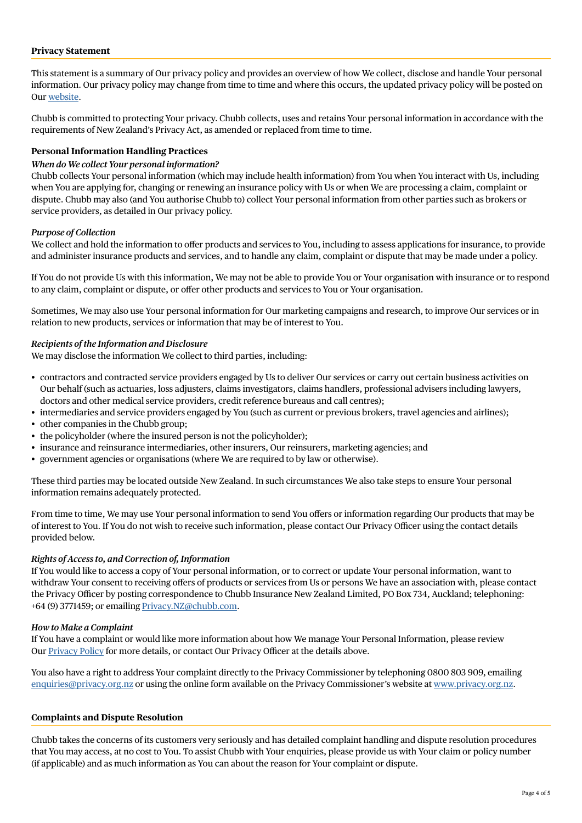#### **Privacy Statement**

This statement is a summary of Our privacy policy and provides an overview of how We collect, disclose and handle Your personal information. Our privacy policy may change from time to time and where this occurs, the updated privacy policy will be posted on Our [website](https://www.chubb.com/nz-en/footer/privacy.html).

Chubb is committed to protecting Your privacy. Chubb collects, uses and retains Your personal information in accordance with the requirements of New Zealand's Privacy Act, as amended or replaced from time to time.

#### **Personal Information Handling Practices**

#### *When do We collect Your personal information?*

Chubb collects Your personal information (which may include health information) from You when You interact with Us, including when You are applying for, changing or renewing an insurance policy with Us or when We are processing a claim, complaint or dispute. Chubb may also (and You authorise Chubb to) collect Your personal information from other parties such as brokers or service providers, as detailed in Our privacy policy.

#### *Purpose of Collection*

We collect and hold the information to offer products and services to You, including to assess applications for insurance, to provide and administer insurance products and services, and to handle any claim, complaint or dispute that may be made under a policy.

If You do not provide Us with this information, We may not be able to provide You or Your organisation with insurance or to respond to any claim, complaint or dispute, or offer other products and services to You or Your organisation.

Sometimes, We may also use Your personal information for Our marketing campaigns and research, to improve Our services or in relation to new products, services or information that may be of interest to You.

#### *Recipients of the Information and Disclosure*

We may disclose the information We collect to third parties, including:

- contractors and contracted service providers engaged by Us to deliver Our services or carry out certain business activities on Our behalf (such as actuaries, loss adjusters, claims investigators, claims handlers, professional advisers including lawyers, doctors and other medical service providers, credit reference bureaus and call centres);
- intermediaries and service providers engaged by You (such as current or previous brokers, travel agencies and airlines);
- other companies in the Chubb group;
- the policyholder (where the insured person is not the policyholder);
- insurance and reinsurance intermediaries, other insurers, Our reinsurers, marketing agencies; and
- government agencies or organisations (where We are required to by law or otherwise).

These third parties may be located outside New Zealand. In such circumstances We also take steps to ensure Your personal information remains adequately protected.

From time to time, We may use Your personal information to send You offers or information regarding Our products that may be of interest to You. If You do not wish to receive such information, please contact Our Privacy Officer using the contact details provided below.

#### *Rights of Access to, and Correction of, Information*

If You would like to access a copy of Your personal information, or to correct or update Your personal information, want to withdraw Your consent to receiving offers of products or services from Us or persons We have an association with, please contact the Privacy Officer by posting correspondence to Chubb Insurance New Zealand Limited, PO Box 734, Auckland; telephoning: +64 (9) 3771459; or emailing [Privacy.NZ@chubb.com.](mailto:Privacy.NZ%40chubb.com?subject=)

#### *How to Make a Complaint*

If You have a complaint or would like more information about how We manage Your Personal Information, please review Our [Privacy Policy](https://www.chubb.com/nz-en/footer/privacy.html) for more details, or contact Our Privacy Officer at the details above.

You also have a right to address Your complaint directly to the Privacy Commissioner by telephoning 0800 803 909, emailing [enquiries@privacy.org.nz](mailto:enquiries%40privacy.org.nz?subject=) or using the online form available on the Privacy Commissioner's website at [www.privacy.org.nz](http://www.privacy.org.nz).

#### **Complaints and Dispute Resolution**

Chubb takes the concerns of its customers very seriously and has detailed complaint handling and dispute resolution procedures that You may access, at no cost to You. To assist Chubb with Your enquiries, please provide us with Your claim or policy number (if applicable) and as much information as You can about the reason for Your complaint or dispute.